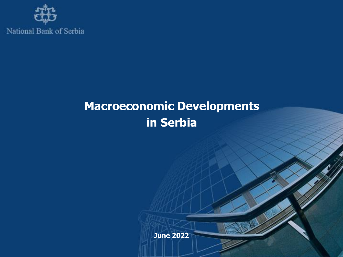

# **Macroeconomic Developments in Serbia**

**June 2022**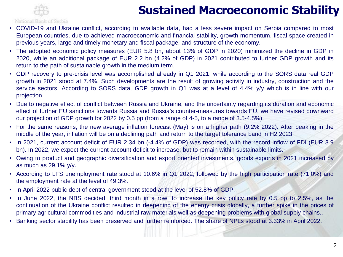# **Sustained Macroeconomic Stability**

#### National Bank of Serbia

- COVID-19 and Ukraine conflict, according to available data, had a less severe impact on Serbia compared to most European countries, due to achieved macroeconomic and financial stability, growth momentum, fiscal space created in previous years, large and timely monetary and fiscal package, and structure of the economy.
- The adopted economic policy measures (EUR 5.8 bn, about 13% of GDP in 2020) minimized the decline in GDP in 2020, while an additional package of EUR 2.2 bn (4.2% of GDP) in 2021 contributed to further GDP growth and its return to the path of sustainable growth in the medium term.
- GDP recovery to pre-crisis level was accomplished already in Q1 2021, while according to the SORS data real GDP growth in 2021 stood at 7.4%. Such developments are the result of growing activity in industry, construction and the service sectors. According to SORS data, GDP growth in Q1 was at a level of 4.4% y/y which is in line with our projection.
- Due to negative effect of conflict between Russia and Ukraine, and the uncertainty regarding its duration and economic effect of further EU sanctions towards Russia and Russia's counter-measures towards EU, we have revised downward our projection of GDP growth for 2022 by 0.5 pp (from a range of 4-5, to a range of 3.5-4.5%).
- For the same reasons, the new average inflation forecast (May) is on a higher path (9.2% 2022). After peaking in the middle of the year, inflation will be on a declining path and return to the target tolerance band in H2 2023.
- In 2021, current account deficit of EUR 2.34 bn (-4.4% of GDP) was recorded, with the record inflow of FDI (EUR 3.9 bn). In 2022, we expect the current account deficit to increase, but to remain within sustainable limits.
- Owing to product and geographic diversification and export oriented investments, goods exports in 2021 increased by as much as 29.1% y/y.
- According to LFS unemployment rate stood at 10.6% in Q1 2022, followed by the high participation rate (71.0%) and the employment rate at the level of 49.3%.
- In April 2022 public debt of central government stood at the level of 52.8% of GDP.
- In June 2022, the NBS decided, third month in a row, to increase the key policy rate by 0.5 pp to 2.5%, as the continuation of the Ukraine conflict resulted in deepening of the energy crisis globally, a further spike in the prices of primary agricultural commodities and industrial raw materials well as deepening problems with global supply chains..
- Banking sector stability has been preserved and further reinforced. The share of NPLs stood at 3.33% in April 2022.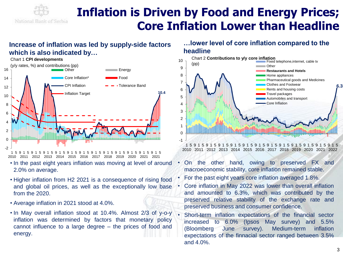

# **Inflation is Driven by Food and Energy Prices; Core Inflation Lower than Headline**

### **Increase of inflation was led by supply-side factors which is also indicated by…**



1 5 9 1 5 9 1 5 9 1 5 9 1 2010 2011 2012 2013 2014 2015 2016 2017 2018 2019 2020 2021 5 9 1 5 9 1 5 9 1 5 9 1 5 9 1 5 9 1 .9 5 9 1 5 2021

- In the past eight years inflation was moving at level of around 2.0% on average.
- Higher inflation from H2 2021 is a consequence of rising food and global oil prices, as well as the exceptionally low base from the 2020.
- Average inflation in 2021 stood at 4.0%.
- In May overall inflation stood at 10.4%. Almost 2/3 of y-o-y inflation was determined by factors that monetary policy cannot influence to a large degree – the prices of food and energy.

### **…lower level of core inflation compared to the headline**



1 5 9 1 5 9 1 5 9 1 5 9 1 5 9 1 5 9 1 5 9 1 5 9 1 5 9 1 5 9 1 5 9 1 5 9 1 2010 2011 2012 2013 2014 2015 2016 2017 2018 2019 2020 2021 2022

- On the other hand, owing to preserved FX and macroeconomic stability, core inflation remained stable.
- For the past eight years core inflation averaged 1.8%.
- Core inflation in May 2022 was lower than overall inflation and amounted to 6.3%, which was contributed by the preserved relative stability of the exchange rate and preserved business and consumer confidence.
- Short-term inflation expectations of the financial sector increased to 6.0% (Ipsos May survey) and 5.5% (Bloomberg June survey). Medium-term inflation expectations of the finnacial sector ranged between 3.5% and 4.0%.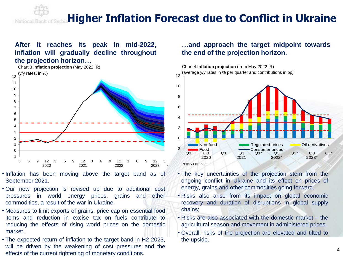#### **Higher Inflation Forecast due to Conflict in Ukraine** National Bank

### **After it reaches its peak in mid-2022, inflation will gradually decline throughout the projection horizon…**



- Inflation has been moving above the target band as of September 2021.
- Our new projection is revised up due to additional cost pressures in world energy prices, grains and other commodities, a result of the war in Ukraine.
- Measures to limit exports of grains, price cap on essential food items and reduction in excise tax on fuels contribute to reducing the effects of rising world prices on the domestic market.
- The expected return of inflation to the target band in H2 2023, will be driven by the weakening of cost pressures and the effects of the current tightening of monetary conditions.

### **…and approach the target midpoint towards the end of the projection horizon.**



- The key uncertainties of the projection stem from the ongoing conflict in Ukraine and its effect on prices of energy, grains and other commodities going forward.
- Risks also arise from its impact on global economic recovery and duration of disruptions in global supply chains;
- Risks are also associated with the domestic market the agricultural season and movement in administered prices.
- Overall, risks of the projection are elevated and tilted to the upside.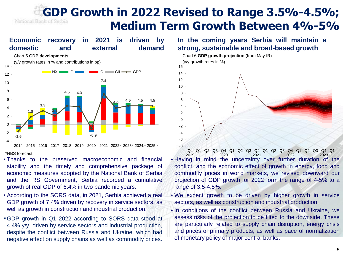### **GDP Growth in 2022 Revised to Range 3.5%-4.5%;** National Bank of Serbia **Medium Term Growth Between 4%-5%**



• Thanks to the preserved macroeconomic and financial stability and the timely and comprehensive package of economic measures adopted by the National Bank of Serbia and the RS Government, Serbia recorded a cumulative growth of real GDP of 6.4% in two pandemic years.

- According to the SORS data, in 2021, Serbia achieved a real GDP growth of 7.4% driven by recovery in service sectors, as well as growth in construction and industrial production.
- ▪GDP growth in Q1 2022 according to SORS data stood at 4.4% y/y, driven by service sectors and industrial production, despite the conflict between Russia and Ukraine, which had negative effect on supply chains as well as commodity prices.

### **In the coming years Serbia will maintain a strong, sustainable and broad-based growth**



• Having in mind the uncertainty over further duration of the conflict, and the economic effect of growth in energy, food and commodity prices in world markets, we revised downward our projection of GDP growth for 2022 form the range of 4-5% to a range of 3,5-4,5%. Q4 Q1 Q2 Q3 Q4 Q1 Q2 Q3 Q4 Q1 Q2 Q3 Q4 Q1 Q2 Q3 Q4 Q1 2019 2020 2021 2022 2023

- We expect growth to be driven by higher growth in service sectors, as well as construction and industrial production.
- In conditions of the conflict between Russia and Ukraine, we assess risks of the projection to be tilted to the downside. These are particularly related to supply chain disruption, energy crisis and prices of primary products, as well as pace of normalization of monetary policy of major central banks.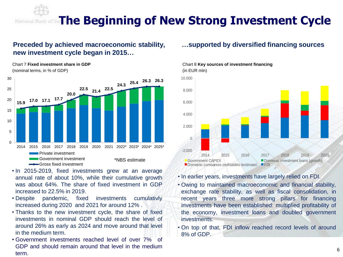#### **Thе Beginning of New Strong Investment Cycle** National Ba

### **Preceded by achieved macroeconomic stability, new investment cycle began in 2015…**

Chart 7 **Fixed investment share in GDP**



- In 2015-2019, fixed investments grew at an average annual rate of about 10%, while their cumulative growth was about 64%. The share of fixed investment in GDP increased to 22.5% in 2019.
- Despite pandemic, fixed investments cumulativly increased during 2020 and 2021 for around 12% .
- Thanks to the new investment cycle, the share of fixed investments in nominal GDP should reach the level of around 26% as early as 2024 and move around that level in the medium term.
- Government investments reached level of over 7% of GDP and should remain around that level in the medium term.

#### **…supported by diversified financing sources**





• In earlier years, investments have largely relied on FDI.

- Owing to maintained macroeconomic and financial stability, exchange rate stability, as well as fiscal consolidation, in recent years three more strong pillars for financing investments have been established: multiplied profitability of the economy, investment loans and doubled government investments.
- On top of that, FDI inflow reached record levels of around 8% of GDP.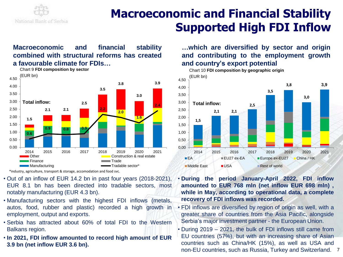

# **Macroeconomic and Financial Stability Supported High FDI Inflow**

### **Macroeconomic and financial stability combined with structural reforms has created a favourable climate for FDIs…**



\*industry, agriculture, transport & storage, accomodation and food svc.

- Out of an inflow of EUR 14.2 bn in past four years (2018-2021), EUR 8.1 bn has been directed into tradable sectors, most notably manufacturing (EUR 4.3 bn).
- Manufacturing sectors with the highest FDI inflows (metals, autos, food, rubber and plastic) recorded a high growth in employment, output and exports.
- Serbia has attracted about 60% of total FDI to the Western Balkans region.
- **In 2021, FDI inflow amounted to record high amount of EUR 3.9 bn (net inflow EUR 3.6 bn).**

**…which are diversified by sector and origin and contributing to the employment growth and country's export potential**



• **During the period January-April 2022, FDI inflow amounted to EUR 768 mln (net inflow EUR 698 mln) , while in May, according to operational data, a complete recovery of FDI inflows was recorded.**

- FDI inflows are diversified by region of origin as well, with a greater share of countries from the Asia Pacific, alongside Serbia's major investment partner - the European Union.
- During 2019 2021, the bulk of FDI inflows still came from EU countries (57%), but with an increasing share of Asian countries such as China/HK (15%), as well as USA and non-EU countries, such as Russia, Turkey and Switzerland. 7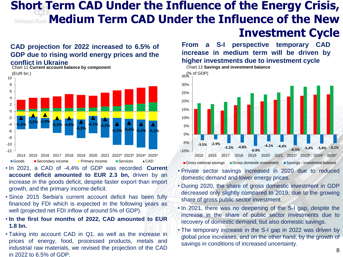### **Short Term CAD Under the Influence of the Energy Crisis, Medium Term CAD Under the Influence of the New Investment Cycle**

### **CAD projection for 2022 increased to 6.5% of GDP due to rising world energy prices and the conflict in Ukraine**



Chart 11 **Current account balance by component**

■Goods ■Secondary income ■Primary income ■Services ▲ CAD

- In 2021, a CAD of -4,4% of GDP was recorded. **Current account deficit amounted to EUR 2.3 bn,** driven by an increase in the goods deficit, despite faster export than import growth, and the primary income deficit.
- Since 2015 Serbia's current account deficit has been fully financed by FDI which is expected in the following years as well (projected net FDI inflow of around 5% of GDP).
- **In the first four months of 2022, CAD amounted to EUR 1.8 bn.**
- Taking into account CAD in Q1, as well as the increase in prices of energy, food, processed products, metals and industrial raw materials, we revised the projection of the CAD in 2022 to 6.5% of GDP.

**From a S-I perspective temporary CAD increase in medium term will be driven by higher investments due to investment cycle**



- Private sector savings increased in 2020 due to reduced domestic demand and lower energy prices.
- During 2020, the share of gross domestic investment in GDP decreased only slightly compared to 2019, due to the growing share of gross public sector investment.
- In 2021, there was no deepening of the S-I gap, despite the increase in the share of public sector investments due to recovery of domestic demand, but also domestic savings.
- The temporary increase in the S-I gap in 2022 was driven by global price increases, and on the other hand, by the growth of savings in conditions of increased uncertainty.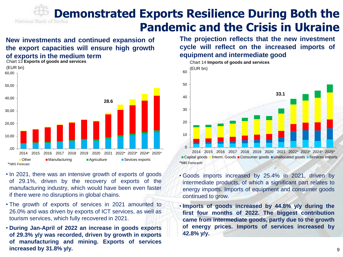# **Demonstrated Exports Resilience During Both the Pandemic and the Crisis in Ukraine**

### **New investments and continued expansion of the export capacities will ensure high growth of exports in the medium term**



- In 2021, there was an intensive growth of exports of goods of 29.1%, driven by the recovery of exports of the manufacturing industry, which would have been even faster if there were no disruptions in global chains.
- The growth of exports of services in 2021 amounted to 26.0% and was driven by exports of ICT services, as well as tourism services, which fully recovered in 2021.
- **During Jan-April of 2022 an increase in goods exports of 29.3% y/y was recorded, driven by growth in exports of manufacturing and mining. Exports of services increased by 31.8% y/y.**

**The projection reflects that the new investment cycle will reflect on the increased imports of equipment and intermediate good**



Capital goods Interm. Goods Consumer goods Unallocated goods Services imports \*NBS Forecastt

- Goods imports increased by 25.4% in 2021, driven by intermediate products, of which a significant part relates to energy imports. Imports of equipment and consumer goods continued to grow.
- **Imports of goods increased by 44.8% y/y during the first four months of 2022. The biggest contribution came from intermediate goods, partly due to the growth of energy prices. Imports of services increased by 42.8% y/y.**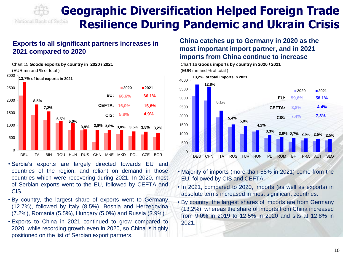

### **Exports to all significant partners increases in 2021 compared to 2020**



- Serbia's exports are largely directed towards EU and countries of the region, and reliant on demand in those countries which were recovering during 2021. In 2020, most of Serbian exports went to the EU, followed by CEFTA and CIS.
- By country, the largest share of exports went to Germany (12.7%), followed by Italy (8.5%), Bosnia and Herzegovina (7.2%), Romania (5.5%), Hungary (5.0%) and Russia (3.9%).
- Exports to China in 2021 continued to grow compared to 2020, while recording growth even in 2020, so China is highly positioned on the list of Serbian export partners.

### **China catches up to Germany in 2020 as the most important import partner, and in 2021 imports from China continue to increase**



- Majority of imports (more than 58% in 2021) come from the EU, followed by CIS and CEFTA.
- In 2021, compared to 2020, imports (as well as exports) in absolute terms increased in most significant countries.
- By country, the largest shares of imports are from Germany (13.2%), whereas the share of imports from China increased from 9.0% in 2019 to 12.5% in 2020 and sits at 12.8% in 2021.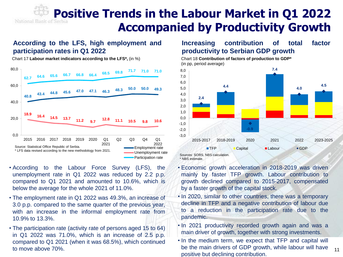# **Positive Trends in the Labour Market in Q1 2022 Accompanied by Productivity Growth**

### **According to the LFS, high employment and participation rates in Q1 2022**

Chart 17 **Labour market indicators according to the LFS\*,** (in %) Chart 18 **Contribution of factors of production to GDP\*** 



- According to the Labour Force Survey (LFS), the unemployment rate in Q1 2022 was reduced by 2.2 p.p. compared to Q1 2021 and amounted to 10.6%, which is below the average for the whole 2021 of 11.0%.
- The employment rate in Q1 2022 was 49.3%, an increase of 3.0 p.p. compared to the same quarter of the previous year, with an increase in the informal employment rate from 10.9% to 13.3%.
- The participation rate (activity rate of persons aged 15 to 64) in Q1 2022 was 71.0%, which is an increase of 2.5 p.p. compared to Q1 2021 (when it was 68.5%), which continued to move above 70%.

### **Increasing contribution of total factor productivity to Serbian GDP growth**

(in pp, period average)





- Economic growth acceleration in 2018-2019 was driven mainly by faster TFP growth. Labour contribution to growth declined compared to 2015-2017, compensated by a faster growth of the capital stock.
- In 2020, similar to other countries, there was a temporary decline in TFP and a negative contribution of labour due to a reduction in the participation rate due to the pandemic.
- In 2021 productivity recorded growth again and was a main driver of growth, together with strong investments.
- In the medium term, we expect that TFP and capital will be the main drivers of GDP growth, while labour will have positive but declining contribution.

11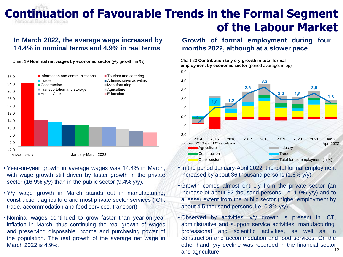# **Continuation of Favourable Trends in the Formal Segment of the Labour Market**

### **In March 2022, the average wage increased by 14.4% in nominal terms and 4.9% in real terms**

Chart 19 **Nominal net wages by economic sector** (y/y growth, in %) Chart 20 **Contribution to y-o-y growth in total formal** 



- Year-on-year growth in average wages was 14.4% in March, with wage growth still driven by faster growth in the private sector (16.9% y/y) than in the public sector (9.4% y/y).
- Y/y wage growth in March stands out in manufacturing, construction, agriculture and most private sector services (ICT, trade, accommodation and food services, transport).
- Nominal wages continued to grow faster than year-on-year inflation in March, thus continuing the real growth of wages and preserving disposable income and purchasing power of the population. The real growth of the average net wage in March 2022 is 4.9%.

#### **Growth of formal employment during four months 2022, although at a slower pace**

**employment by economic sector** (period average, in pp)



• In the period January-April 2022, the total formal employment increased by about 36 thousand persons (1.6% y/y).

- Growth comes almost entirely from the private sector (an increase of about 32 thousand persons, i.e. 1.9% y/y) and to a lesser extent from the public sector (higher employment by about 4.5 thousand persons, i.e. 0.8% y/y).
- Observed by activities, y/y growth is present in ICT, administrative and support service activities, manufacturing, professional and scientific activities, as well as in construction and accommodation and food services. On the other hand, y/y decline was recorded in the financial sector and agriculture. 12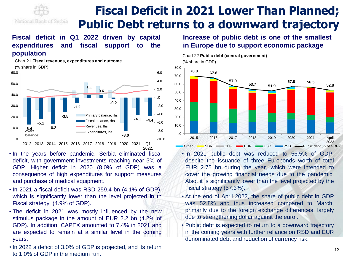

# **Fiscal Deficit in 2021 Lower Than Planned; Public Debt returns to a downward trajectory**

### **Fiscal deficit in Q1 2022 driven by capital expenditures and fiscal support to the population**

Chart 21 **Fiscal revenues, expenditures and outcome**

(% share in GDP) **-6.4 -5.1 -6.2 -3.5 -1.2 1.1 0.6 -0.2 -8.0 -4.1 -4.4** -10.0 -8.0 -6.0 -4.0 -2.0 .0 2.0 4.0 6.0 .0 10.0 20.0 30.0 40.0 50.0 60.0 2012 2013 2014 2015 2016 2017 2018 2019 2020 2021 Q1 2022. Primary balance, rhs Fiscal balance, rhs Revenues, lhs **overall** Expenditures, lhs **balance:**

- In the years before pandemic, Serbia eliminated fiscal deficit, with government investments reaching near 5% of GDP. Higher deficit in 2020 (8.0% of GDP) was a consequence of high expenditures for support measures and purchase of medical equipment.
- In 2021 a fiscal deficit was RSD 259.4 bn (4.1% of GDP), which is significantly lower than the level projected in th Fiscal strategy (4.9% of GDP).
- The deficit in 2021 was mostly influenced by the new stimulus package in the amount of EUR 2.2 bn (4.2% of GDP). In addition, CAPEX amounted to 7.4% in 2021 and are expected to remain at a similar level in the coming years.
- In 2022 a deficit of 3.0% of GDP is projected, and its return to 1.0% of GDP in the medium run.

**Increase of public debt is one of the smallest in Europe due to support economic package**



- In 2021 public debt was reduced to 56.5% of GDP, despite the issuance of three Eurobonds worth of total EUR 2.75 bn during the year, which were intended to cover the growing financial needs due to the pandemic. Also, it is significantly lower than the level projected by the Fiscal strategy (57.3%).
- At the end of April 2022, the share of public debt in GDP was 52.8% and thus increased compared to March, primarily due to the foreign exchange differences, largely due to strengthening dollar against the euro..
- Public debt is expected to return to a downward trajectory in the coming years with further reliance on RSD and EUR denominated debt and reduction of currency risk.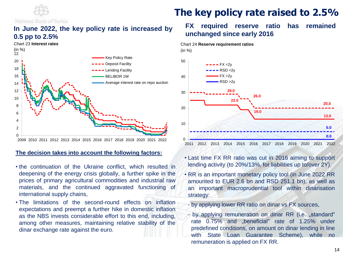

### **In June 2022, the key policy rate is increased by 0.5 pp to 2.5%**



#### **The decision takes into account the following factors:**

- the continuation of the Ukraine conflict, which resulted in deepening of the energy crisis globally, a further spike in the prices of primary agricultural commodities and industrial raw materials, and the continued aggravated functioning of international supply chains,
- The limitations of the second-round effects on inflation expectations and preempt a further hike in domestic inflation as the NBS invests considerable effort to this end, including, among other measures, maintaining relative stability of the dinar exchange rate against the euro.

### **The key policy rate raised to 2.5%**

### **FX required reserve ratio has remained unchanged since early 2016**



- Last time FX RR ratio was cut in 2016 aiming to support lending activity (to 20%/13%, for liabilities up to/over 2Y).
- RR is an important monetary policy tool (in June 2022 RR amounted to EUR 2.6 bn and RSD 251.1 bn), as well as an important macroprudential tool within dinarisation strategy:
- by applying lower RR ratio on dinar vs FX sources,
- by applying remuneration on dinar RR (i.e. "standard" rate 0.75% and "beneficial" rate of 1.25% under predefined conditions, on amount on dinar lending in line with State Loan Guarantee Scheme), while no remuneration is applied on FX RR.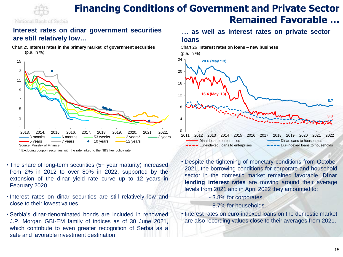

### **Financing Conditions of Government and Private Sector Remained Favorable …**

### **Interest rates on dinar government securities are still relatively low…**

Chart 25 **Interest rates in the primary market of government securities**  (p.a. in %)



\* Excluding coupon securities with the rate linked to the NBS key policy rate.

- The share of long-term securities (5+ year maturity) increased from 2% in 2012 to over 80% in 2022, supported by the extension of the dinar yield rate curve up to 12 years in February 2020.
- Interest rates on dinar securities are still relatively low and close to their lowest values.
- Serbia's dinar-denominated bonds are included in renowned J.P. Morgan GBI-EM family of indices as of 30 June 2021, which contribute to even greater recognition of Serbia as a safe and favorable investment destination.

### **… as well as interest rates on private sector loans**



• Despite the tightening of monetary conditions from October 2021, the borrowing conditions for corporate and household sector in the domestic market remained favorable. **Dinar lending interest rates** are moving around their average levels from 2021 and in April 2022 they amounted to: <sup>15</sup> <sup>1</sup>

- 3.8% for corporates,
- 8.7% for households.
- Interest rates on euro-indexed loans on the domestic market are also recording values close to their averages from 2021.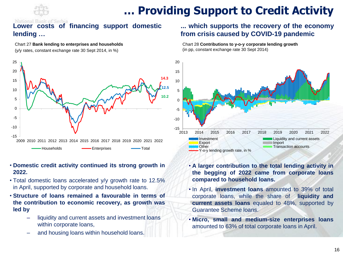

# **… Providing Support to Credit Activity**

### **Lower costs of financing support domestic lending …**

#### Chart 27 **Bank lending to enterprises and households**

(y/y rates, constant exchange rate 30 Sept 2014, in %)



- **Domestic credit activity continued its strong growth in 2022.**
- Total domestic loans accelerated y/y growth rate to 12.5% in April, supported by corporate and household loans.
- **Structure of loans remained a favourable in terms of the contribution to economic recovery, as growth was led by**
	- liquidity and current assets and investment loans within corporate loans,
	- and housing loans within household loans.

### **... which supports the recovery of the economy from crisis caused by COVID-19 pandemic**

#### Chart 28 **Contributions to y-o-y corporate lending growth** (in pp, constant exchange rate 30 Sept 2014)



- **A larger contribution to the total lending activity in the begging of 2022 came from corporate loans compared to household loans.**
- In April, **investment loans** amounted to 39% of total corporate loans, while the share of **liquidity and current assets loans** equaled to 48%, supported by Guarantee Scheme loans.
- **Micro, small and medium-size enterprises loans** amounted to 63% of total corporate loans in April.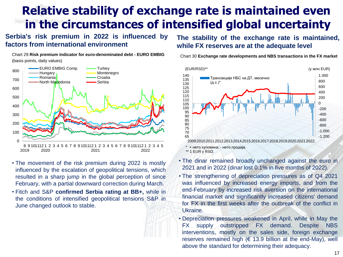# **Relative stability of exchange rate is maintained even in the circumstances of intensified global uncertainty**

### **Serbia's risk premium in 2022 is influenced by factors from international environment**

Chart 29 **Risk premium indicator for euro-denominated debt - EURO EMBIG**

(basis points, daily values)  $\Omega$ 100 200 300 400 500 600 700 800 8 9 101112 1 2 3 4 5 6 7 8 9 101112 1 2 3 4 5 6 7 8 9 101112 1 2 3 4 5 2019 2020 2021 2022 EURO EMBIG Comp. - Turkey Hungary Montenegro Romania **Notation Croatia** North Macedonia **- Serbia** 

- The movement of the risk premium during 2022 is mostly influenced by the escalation of geopolitical tensions, which resulted in a sharp jump in the global perception of since February, with a partial downward correction during March.
- Fitch and S&P **confirmed Serbia rating at BB+,** while in the conditions of intensified geopolitical tensions S&P in June changed outlook to stable.

### **The stability of the exchange rate is maintained, while FX reserves are at the adequate level**



Chart 30 **Exchange rate developments and NBS transactions in the FX market**

- The dinar remained broadly unchanged against the euro in 2021 and in 2022 (dinar lost 0.1% in five months of 2022).
- The strengthening of depreciation pressures as of Q4 2021 was influenced by increased energy imports, and from the end-February by increased risk aversion on the international financial market and significantly increased citizens' demand for FX in the first weeks after the outbreak of the conflict in Ukraine.
- Depreciation pressures weakened in April, while in May the FX supply outstripped FX demand. Despite NBS interventions, mostly on the sales side, foreign exchange reserves remained high ( $\epsilon$  13.9 billion at the end-May), well above the standard for determining their adequacy.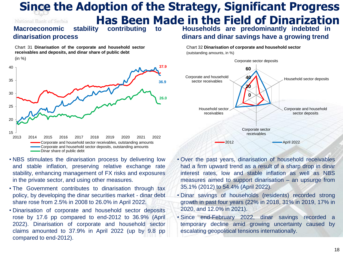### **Since the Adoption of the Strategy, Significant Progress Has Been Made in the Field of Dinarization**<br>stability contributing to Households are predominantly indebted in National Bank of Serbia **Macroeconomic**

### **dinarisation process**

Chart 31 **Dinarisation of the corporate and household sector receivables and deposits, and dinar share of public debt**

**Households are predominantly indebted in dinars and dinar savings have a growing trend**

Chart 32 **Dinarisation of corporate and household sector** (outstanding amounts, in %)



- NBS stimulates the dinarisation process by delivering low and stable inflation, preserving relative exchange rate stability, enhancing management of FX risks and exposures in the private sector, and using other measures.
- The Government contributes to dinarisation through tax policy, by developing the dinar securities market - dinar debt share rose from 2.5% in 2008 to 26.0% in April 2022.
- Dinarisation of corporate and household sector deposits rose by 17.6 pp compared to end-2012 to 36.9% (April 2022). Dinarisation of corporate and household sector claims amounted to 37.9% in April 2022 (up by 9.8 pp compared to end-2012).



- Over the past years, dinarisation of household receivables had a firm upward trend as a result of a sharp drop in dinar interest rates, low and stable inflation as well as NBS measures aimed to support dinarisation – an upsurge from 35.1% (2012) to 54.4% (April 2022).
- Dinar savings of households (residents) recorded strong growth in past four years (22% in 2018, 31% in 2019, 17% in 2020, and 12.0% in 2021).
- Since end-February 2022, dinar savings recorded a temporary decline amid growing uncertainty caused by escalating geopolitical tensions internationally.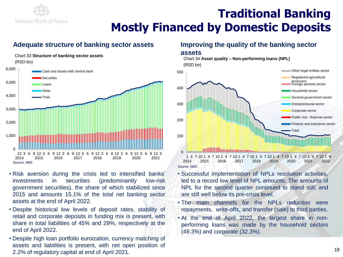

# **Traditional Banking Mostly Financed by Domestic Deposits**

### **Adequate structure of banking sector assets Improving the quality of the banking sector**

#### Chart 33 **Structure of banking sector assets** (RSD bn) Source: NBS 0 1,000 2,000 3,000 4,000 5,000 6,000 12 2014 3 6 9 12 2015  $\alpha$ 2016 3 6 9 2017 3 6 9 12 2018 3 6 9 12 2019  $\mathsf q$ 2020 3 6 9 12 3 2021 Cash and assets with central bank **Securities Loans Other** Total

- Risk aversion during the crisis led to intensified banks' investments in securities (predominantly low-risk government securities), the share of which stabilized since 2015 and amounts 15.1% of the total net banking sector assets at the end of April 2022.
- Despite historical low levels of deposit rates, stability of retail and corporate deposits in funding mix is present, with share in total liabilities of 45% and 29%, respectively at the end of April 2022.
- Despite high loan portfolio euroization, currency matching of assets and liabilities is present, with net open position of 2.2% of regulatory capital at end of April 2021.

#### **assets**

Chart 34 **Asset quality – Non-performing loans (NPL)** (RSD bn)



- Successful implementation of NPLs resolution activities, led to a record low level of NPL amounts. The amounts of NPL for the second quarter continued to stand still, and are still well below its pre-crisis level.
- The main channels for the NPLs reduction were repayments, write-offs, and transfer (sale) to third parties.
- At the end of April 2022, the largest share in nonperforming loans was made by the household sectors (49.3%) and corporate (32.3%).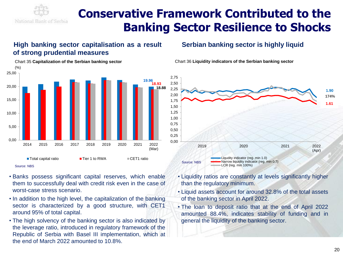

# **Conservative Framework Contributed to the Banking Sector Resilience to Shocks**

### **High banking sector capitalisation as a result of strong prudential measures**

#### Chart 35 **Capitalization of the Serbian banking sector** (%) **19.96 18.93 18.88** 0,00 5,00 10,00 15,00 20,00 25,00 2014 2015 2016 2017 2018 2019 2020 2021 2022 (Mar) ■ Total capital ratio ■ Tier 1 to RWA ■ CET1 ratio

Source: NBS

- Banks possess significant capital reserves, which enable them to successfully deal with credit risk even in the case of worst-case stress scenario.
- In addition to the high level, the capitalization of the banking sector is characterized by a good structure, with CET1 around 95% of total capital.
- The high solvency of the banking sector is also indicated by the leverage ratio, introduced in regulatory framework of the Republic of Serbia with Basel III implementation, which at the end of March 2022 amounted to 10.8%.

### **Serbian banking sector is highly liquid**





- Liquidity ratios are constantly at levels significantly higher than the regulatory minimum.
- Liquid assets account for around 32.8% of the total assets of the banking sector in April 2022.
- The loan to deposit ratio that at the end of April 2022 amounted 88.4%, indicates stability of funding and in general the liquidity of the banking sector.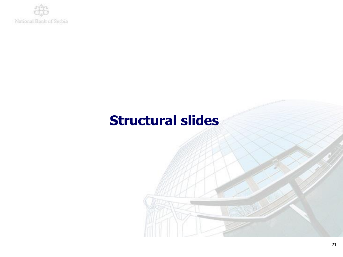

# **Structural slides**

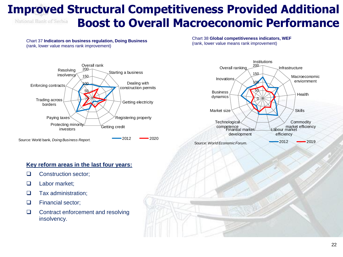### **Improved Structural Competitiveness Provided Additional Boost to Overall Macroeconomic Performance** National Bank of Serbia

Chart 37 **Indicators on business regulation, Doing Business** (rank, lower value means rank improvement)

Chart 38 **Global competitiveness indicators, WEF** (rank, lower value means rank improvement)





#### **Key reform areas in the last four years:**

- ❑ Construction sector;
- ❑ Labor market;
- ❑ Tax administration;
- ❑ Financial sector;
- ❑ Contract enforcement and resolving insolvency.

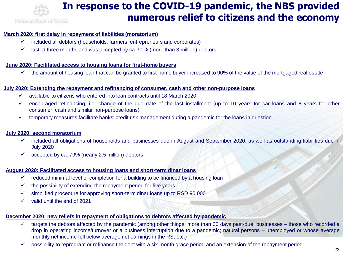

#### **March 2020: first delay in repayment of liabilities (moratorium)**

- $\checkmark$  included all debtors (households, farmers, entrepreneurs and corporates)
- $\checkmark$  lasted three months and was accepted by ca. 90% (more than 3 million) debtors

#### **June 2020: Facilitated access to housing loans for first-home buyers**

 $\checkmark$  the amount of housing loan that can be granted to first-home buyer increased to 90% of the value of the mortgaged real estate

#### **July 2020: Extending the repayment and refinancing of consumer, cash and other non-purpose loans**

- $\checkmark$  available to citizens who entered into loan contracts until 18 March 2020
- ✓ encouraged refinancing, i.e. change of the due date of the last installment (up to 10 years for car loans and 8 years for other consumer, cash and similar non-purpose loans)
- $\checkmark$  temporary measures facilitate banks' credit risk management during a pandemic for the loans in question

#### **July 2020: second moratorium**

- $\checkmark$  included all obligations of households and businesses due in August and September 2020, as well as outstanding liabilities due in July 2020
- $\checkmark$  accepted by ca. 79% (nearly 2.5 million) debtors

#### **August 2020: Facilitated access to housing loans and short-term dinar loans**

- $\checkmark$  reduced minimal level of completion for a building to be financed by a housing loan
- $\checkmark$  the possibility of extending the repayment period for five years
- $\checkmark$  simplified procedure for approving short-term dinar loans up to RSD 90,000
- ✓ valid until the end of 2021

#### **December 2020: new reliefs in repayment of obligations to debtors affected by pandemic**

- ✓ targets the debtors affected by the pandemic (among other things: more than 30 days past-due; businesses those who recorded a drop in operating income/turnover or a business interruption due to a pandemic; natural persons – unemployed or whose average monthly net income fell below average net earnings in the RS; etc.)
- $\checkmark$  possibility to reprogram or refinance the debt with a six-month grace period and an extension of the repayment period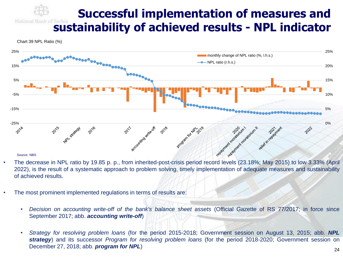### **Successful implementation of measures and sustainability of achieved results - NPL indicator**



- 2022), is the result of a systematic approach to problem solving, timely implementation of adequate measures and sustainability of achieved results.
- The most prominent implemented regulations in terms of results are:
	- *Decision on accounting write-off of the bank's balance sheet assets* (Official Gazette of RS 77/2017; in force since September 2017; abb. *accounting write-off*)
	- *Strategy for resolving problem loans* (for the period 2015-2018; Government session on August 13, 2015; abb. *NPL strategy*) and its successor *Program for resolving problem loans* (for the period 2018-2020; Government session on December 27, 2018; abb. *program for NPL*)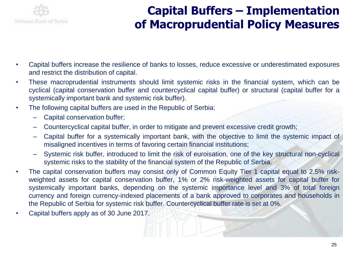

# **Capital Buffers – Implementation of Macroprudential Policy Measures**

- Capital buffers increase the resilience of banks to losses, reduce excessive or underestimated exposures and restrict the distribution of capital.
- These macroprudential instruments should limit systemic risks in the financial system, which can be cyclical (capital conservation buffer and countercyclical capital buffer) or structural (capital buffer for a systemically important bank and systemic risk buffer).
- The following capital buffers are used in the Republic of Serbia:
	- Capital conservation buffer;
	- Countercyclical capital buffer, in order to mitigate and prevent excessive credit growth;
	- Capital buffer for a systemically important bank, with the objective to limit the systemic impact of misaligned incentives in terms of favoring certain financial institutions;
	- Systemic risk buffer, introduced to limit the risk of euroisation, one of the key structural non-cyclical systemic risks to the stability of the financial system of the Republic of Serbia.
- The capital conservation buffers may consist only of Common Equity Tier 1 capital equal to 2.5% riskweighted assets for capital conservation buffer, 1% or 2% risk-weighted assets for capital buffer for systemically important banks, depending on the systemic importance level and 3% of total foreign currency and foreign currency-indexed placements of a bank approved to corporates and households in the Republic of Serbia for systemic risk buffer. Countercyclical buffer rate is set at 0%.
- Capital buffers apply as of 30 June 2017.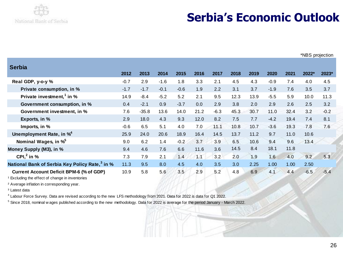

# **Serbia's Economic Outlook**

| <b>Serbia</b>                                                                                                                                                                                                                                                                                                       |        |         |        |        |      |        |      |      |        |      |         |        |
|---------------------------------------------------------------------------------------------------------------------------------------------------------------------------------------------------------------------------------------------------------------------------------------------------------------------|--------|---------|--------|--------|------|--------|------|------|--------|------|---------|--------|
|                                                                                                                                                                                                                                                                                                                     | 2012   | 2013    | 2014   | 2015   | 2016 | 2017   | 2018 | 2019 | 2020   | 2021 | $2022*$ | 2023*  |
| Real GDP, y-o-y %                                                                                                                                                                                                                                                                                                   | $-0.7$ | 2.9     | $-1.6$ | 1.8    | 3.3  | 2.1    | 4.5  | 4.3  | $-0.9$ | 7.4  | 4.0     | 4.5    |
| Private consumption, in %                                                                                                                                                                                                                                                                                           | $-1.7$ | $-1.7$  | $-0.1$ | $-0.6$ | 1.9  | 2.2    | 3.1  | 3.7  | $-1.9$ | 7.6  | 3.5     | 3.7    |
| Private investment, <sup>1</sup> in %                                                                                                                                                                                                                                                                               | 14.9   | $-8.4$  | $-5.2$ | 5.2    | 2.1  | 9.5    | 12.3 | 13.9 | $-5.5$ | 5.9  | 10.0    | 11.3   |
| Government consumption, in %                                                                                                                                                                                                                                                                                        | 0.4    | $-2.1$  | 0.9    | $-3.7$ | 0.0  | 2.9    | 3.8  | 2.0  | 2.9    | 2.6  | 2.5     | 3.2    |
| Government investment, in %                                                                                                                                                                                                                                                                                         | 7.6    | $-35.8$ | 13.6   | 14.0   | 21.2 | $-6.3$ | 45.3 | 30.7 | 11.0   | 32.4 | 3.2     | $-0.2$ |
| Exports, in %                                                                                                                                                                                                                                                                                                       | 2.9    | 18.0    | 4.3    | 9.3    | 12.0 | 8.2    | 7.5  | 7.7  | $-4.2$ | 19.4 | 7.4     | 8.1    |
| Imports, in %                                                                                                                                                                                                                                                                                                       | $-0.6$ | 6.5     | 5.1    | 4.0    | 7.0  | 11.1   | 10.8 | 10.7 | $-3.6$ | 19.3 | 7.8     | 7.6    |
| Unemployment Rate, in % <sup>4</sup>                                                                                                                                                                                                                                                                                | 25.9   | 24.0    | 20.6   | 18.9   | 16.4 | 14.5   | 13.7 | 11.2 | 9.7    | 11.0 | 10.6    |        |
| Nominal Wages, in % <sup>5</sup>                                                                                                                                                                                                                                                                                    | 9.0    | 6.2     | 1.4    | $-0.2$ | 3.7  | 3.9    | 6.5  | 10.6 | 9.4    | 9.6  | 13.4    |        |
| Money Supply (M3), in %                                                                                                                                                                                                                                                                                             | 9.4    | 4.6     | 7.6    | 6.6    | 11.6 | 3.6    | 14.5 | 8.4  | 18.1   | 11.8 |         |        |
| CPI $^2$ in %                                                                                                                                                                                                                                                                                                       | 7.3    | 7.9     | 2.1    | 1.4    | 1.1  | 3.2    | 2.0  | 1.9  | 1.6    | 4.0  | 9.2     | 5.3    |
| National Bank of Serbia Key Policy Rate, <sup>3</sup> in %                                                                                                                                                                                                                                                          | 11.3   | 9.5     | 8.0    | 4.5    | 4.0  | 3.5    | 3.0  | 2.25 | 1.00   | 1.00 | 2.50    |        |
| <b>Current Account Deficit BPM-6 (% of GDP)</b><br>Excluding the effect of change in inventories<br><sup>2</sup> Average inflation in corresponding year.<br><sup>3</sup> Latest data<br>4 Labour Force Survey. Data are revised according to the new LFS methodology from 2021. Data for 2022 is data for Q1 2022. | 10.9   | 5.8     | 5.6    | 3.5    | 2.9  | 5.2    | 4.8  | 6.9  | 4.1    | 4.4  | $-6.5$  | $-5.4$ |
| <sup>5</sup> Since 2018, nominal wages published according to the new methodology. Data for 2022 is average for the period January - March 2022.                                                                                                                                                                    |        |         |        |        |      |        |      |      |        |      |         |        |

Since 2018, nominal w ages published according to the new methodology. Data for 2022 is average for the period January - March 2022.